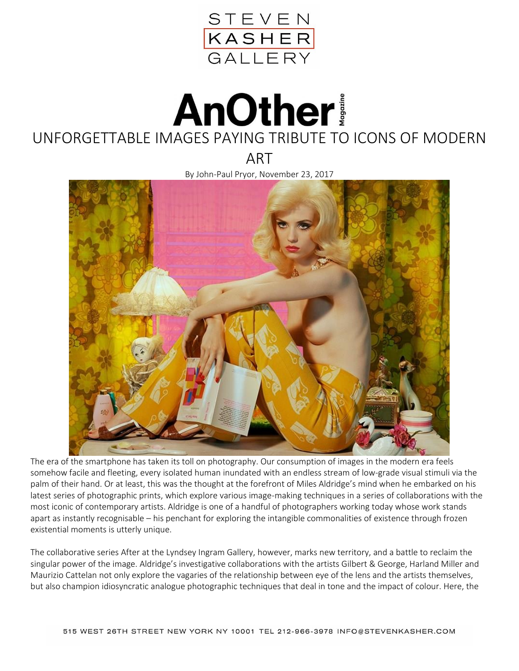

## **AnOther!** UNFORGETTABLE IMAGES PAYING TRIBUTE TO ICONS OF MODERN

ART

By John-Paul Pryor, November 23, 2017



The era of the smartphone has taken its toll on photography. Our consumption of images in the modern era feels somehow facile and fleeting, every isolated human inundated with an endless stream of low-grade visual stimuli via the palm of their hand. Or at least, this was the thought at the forefront of Miles Aldridge's mind when he embarked on his latest series of photographic prints, which explore various image-making techniques in a series of collaborations with the most iconic of contemporary artists. Aldridge is one of a handful of photographers working today whose work stands apart as instantly recognisable – his penchant for exploring the intangible commonalities of existence through frozen existential moments is utterly unique.

The collaborative series After at the Lyndsey Ingram Gallery, however, marks new territory, and a battle to reclaim the singular power of the image. Aldridge's investigative collaborations with the artists Gilbert & George, Harland Miller and Maurizio Cattelan not only explore the vagaries of the relationship between eye of the lens and the artists themselves, but also champion idiosyncratic analogue photographic techniques that deal in tone and the impact of colour. Here, the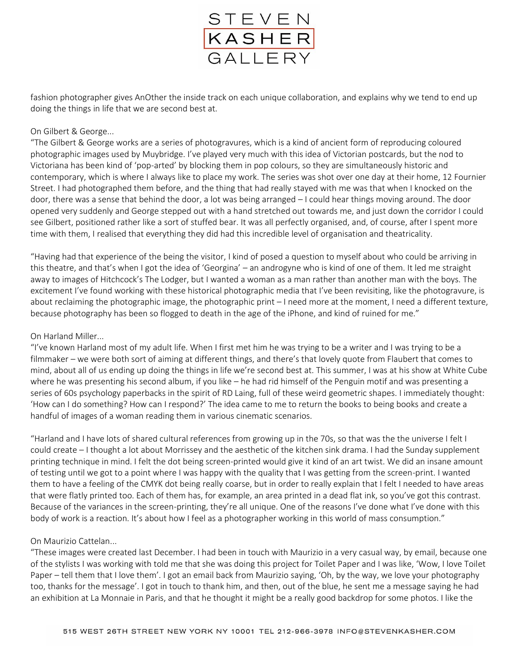

fashion photographer gives AnOther the inside track on each unique collaboration, and explains why we tend to end up doing the things in life that we are second best at.

## On Gilbert & George...

"The Gilbert & George works are a series of photogravures, which is a kind of ancient form of reproducing coloured photographic images used by Muybridge. I've played very much with this idea of Victorian postcards, but the nod to Victoriana has been kind of 'pop-arted' by blocking them in pop colours, so they are simultaneously historic and contemporary, which is where I always like to place my work. The series was shot over one day at their home, 12 Fournier Street. I had photographed them before, and the thing that had really stayed with me was that when I knocked on the door, there was a sense that behind the door, a lot was being arranged – I could hear things moving around. The door opened very suddenly and George stepped out with a hand stretched out towards me, and just down the corridor I could see Gilbert, positioned rather like a sort of stuffed bear. It was all perfectly organised, and, of course, after I spent more time with them, I realised that everything they did had this incredible level of organisation and theatricality.

"Having had that experience of the being the visitor, I kind of posed a question to myself about who could be arriving in this theatre, and that's when I got the idea of 'Georgina' – an androgyne who is kind of one of them. It led me straight away to images of Hitchcock's The Lodger, but I wanted a woman as a man rather than another man with the boys. The excitement I've found working with these historical photographic media that I've been revisiting, like the photogravure, is about reclaiming the photographic image, the photographic print – I need more at the moment, I need a different texture, because photography has been so flogged to death in the age of the iPhone, and kind of ruined for me."

## On Harland Miller...

"I've known Harland most of my adult life. When I first met him he was trying to be a writer and I was trying to be a filmmaker – we were both sort of aiming at different things, and there's that lovely quote from Flaubert that comes to mind, about all of us ending up doing the things in life we're second best at. This summer, I was at his show at White Cube where he was presenting his second album, if you like – he had rid himself of the Penguin motif and was presenting a series of 60s psychology paperbacks in the spirit of RD Laing, full of these weird geometric shapes. I immediately thought: 'How can I do something? How can I respond?' The idea came to me to return the books to being books and create a handful of images of a woman reading them in various cinematic scenarios.

"Harland and I have lots of shared cultural references from growing up in the 70s, so that was the the universe I felt I could create – I thought a lot about Morrissey and the aesthetic of the kitchen sink drama. I had the Sunday supplement printing technique in mind. I felt the dot being screen-printed would give it kind of an art twist. We did an insane amount of testing until we got to a point where I was happy with the quality that I was getting from the screen-print. I wanted them to have a feeling of the CMYK dot being really coarse, but in order to really explain that I felt I needed to have areas that were flatly printed too. Each of them has, for example, an area printed in a dead flat ink, so you've got this contrast. Because of the variances in the screen-printing, they're all unique. One of the reasons I've done what I've done with this body of work is a reaction. It's about how I feel as a photographer working in this world of mass consumption."

## On Maurizio Cattelan...

"These images were created last December. I had been in touch with Maurizio in a very casual way, by email, because one of the stylists I was working with told me that she was doing this project for Toilet Paper and I was like, 'Wow, I love Toilet Paper – tell them that I love them'. I got an email back from Maurizio saying, 'Oh, by the way, we love your photography too, thanks for the message'. I got in touch to thank him, and then, out of the blue, he sent me a message saying he had an exhibition at La Monnaie in Paris, and that he thought it might be a really good backdrop for some photos. I like the